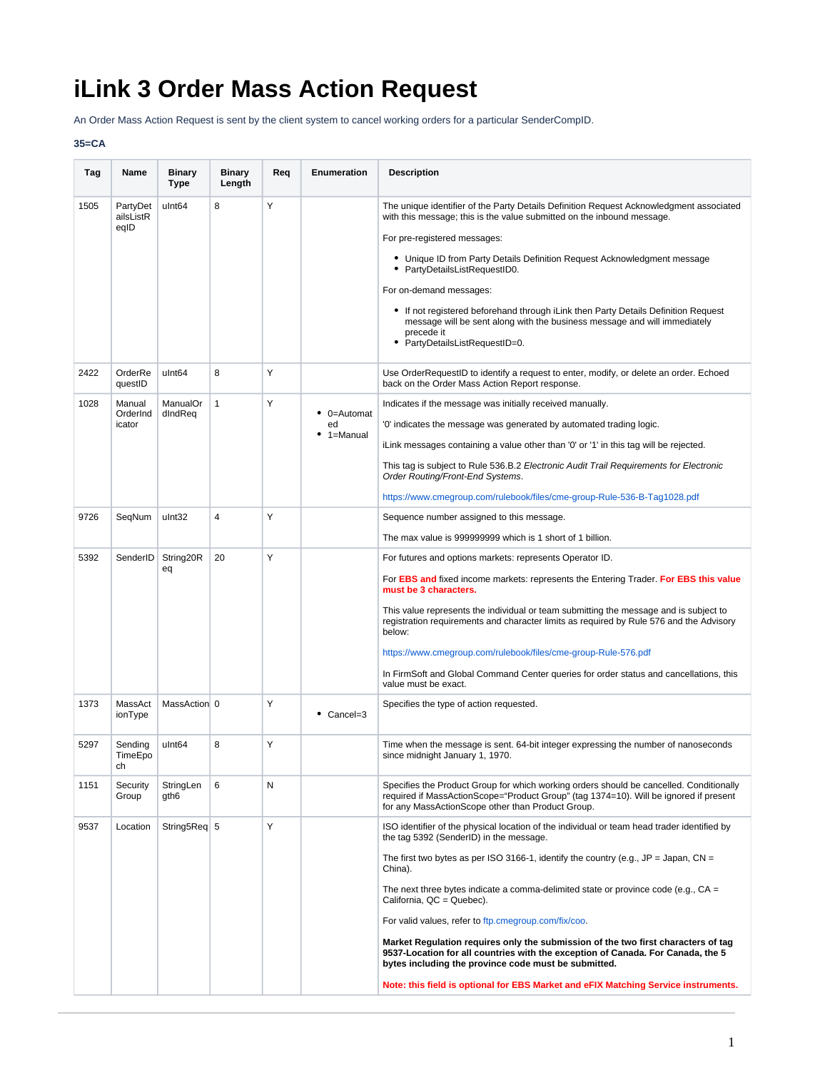## **iLink 3 Order Mass Action Request**

An Order Mass Action Request is sent by the client system to cancel working orders for a particular SenderCompID.

## **35=CA**

| Tag          | Name                                     | <b>Binary</b><br>Type         | <b>Binary</b><br>Length | Req    | Enumeration                                 | <b>Description</b>                                                                                                                                                                                                                                                                                                                                                                                                                                                                                                                                                                                                                                                                                                                          |
|--------------|------------------------------------------|-------------------------------|-------------------------|--------|---------------------------------------------|---------------------------------------------------------------------------------------------------------------------------------------------------------------------------------------------------------------------------------------------------------------------------------------------------------------------------------------------------------------------------------------------------------------------------------------------------------------------------------------------------------------------------------------------------------------------------------------------------------------------------------------------------------------------------------------------------------------------------------------------|
| 1505<br>2422 | PartyDet<br>ailsListR<br>eqID<br>OrderRe | ulnt64<br>ulnt <sub>64</sub>  | 8<br>8                  | Υ<br>Y |                                             | The unique identifier of the Party Details Definition Request Acknowledgment associated<br>with this message; this is the value submitted on the inbound message.<br>For pre-registered messages:<br>• Unique ID from Party Details Definition Request Acknowledgment message<br>• PartyDetailsListRequestID0.<br>For on-demand messages:<br>• If not registered beforehand through iLink then Party Details Definition Request<br>message will be sent along with the business message and will immediately<br>precede it<br>• PartyDetailsListRequestID=0.<br>Use OrderRequestID to identify a request to enter, modify, or delete an order. Echoed                                                                                       |
| 1028         | questID<br>Manual<br>OrderInd<br>icator  | ManualOr<br>dIndReq           | $\mathbf{1}$            | Υ      | $\bullet$ 0=Automat<br>ed<br>$• 1 =$ Manual | back on the Order Mass Action Report response.<br>Indicates if the message was initially received manually.<br>'0' indicates the message was generated by automated trading logic.<br>iLink messages containing a value other than '0' or '1' in this tag will be rejected.<br>This tag is subject to Rule 536.B.2 Electronic Audit Trail Requirements for Electronic<br>Order Routing/Front-End Systems.<br>https://www.cmegroup.com/rulebook/files/cme-group-Rule-536-B-Tag1028.pdf                                                                                                                                                                                                                                                       |
| 9726         | SeqNum                                   | ulnt32                        | 4                       | Y      |                                             | Sequence number assigned to this message.<br>The max value is 999999999 which is 1 short of 1 billion.                                                                                                                                                                                                                                                                                                                                                                                                                                                                                                                                                                                                                                      |
| 5392         | SenderID                                 | String20R<br>eq               | 20                      | Y      |                                             | For futures and options markets: represents Operator ID.<br>For EBS and fixed income markets: represents the Entering Trader. For EBS this value<br>must be 3 characters.<br>This value represents the individual or team submitting the message and is subject to<br>registration requirements and character limits as required by Rule 576 and the Advisory<br>below:<br>https://www.cmegroup.com/rulebook/files/cme-group-Rule-576.pdf<br>In FirmSoft and Global Command Center queries for order status and cancellations, this<br>value must be exact.                                                                                                                                                                                 |
| 1373         | MassAct<br>ionType                       | MassAction 0                  |                         | Y      | $\bullet$ Cancel=3                          | Specifies the type of action requested.                                                                                                                                                                                                                                                                                                                                                                                                                                                                                                                                                                                                                                                                                                     |
| 5297         | Sending<br>TimeEpo<br>сh                 | ulnt <sub>64</sub>            | 8                       | Υ      |                                             | Time when the message is sent. 64-bit integer expressing the number of nanoseconds<br>since midnight January 1, 1970.                                                                                                                                                                                                                                                                                                                                                                                                                                                                                                                                                                                                                       |
| 1151         | Security<br>Group                        | StringLen<br>gth <sub>6</sub> | 6                       | Ν      |                                             | Specifies the Product Group for which working orders should be cancelled. Conditionally<br>required if MassActionScope="Product Group" (tag 1374=10). Will be ignored if present<br>for any MassActionScope other than Product Group.                                                                                                                                                                                                                                                                                                                                                                                                                                                                                                       |
| 9537         | Location                                 | String5Req 5                  |                         | Y      |                                             | ISO identifier of the physical location of the individual or team head trader identified by<br>the tag 5392 (SenderID) in the message.<br>The first two bytes as per ISO 3166-1, identify the country (e.g., JP = Japan, CN =<br>China).<br>The next three bytes indicate a comma-delimited state or province code (e.g., $CA =$<br>California, QC = Quebec).<br>For valid values, refer to ftp.cmegroup.com/fix/coo.<br>Market Regulation requires only the submission of the two first characters of tag<br>9537-Location for all countries with the exception of Canada. For Canada, the 5<br>bytes including the province code must be submitted.<br>Note: this field is optional for EBS Market and eFIX Matching Service instruments. |